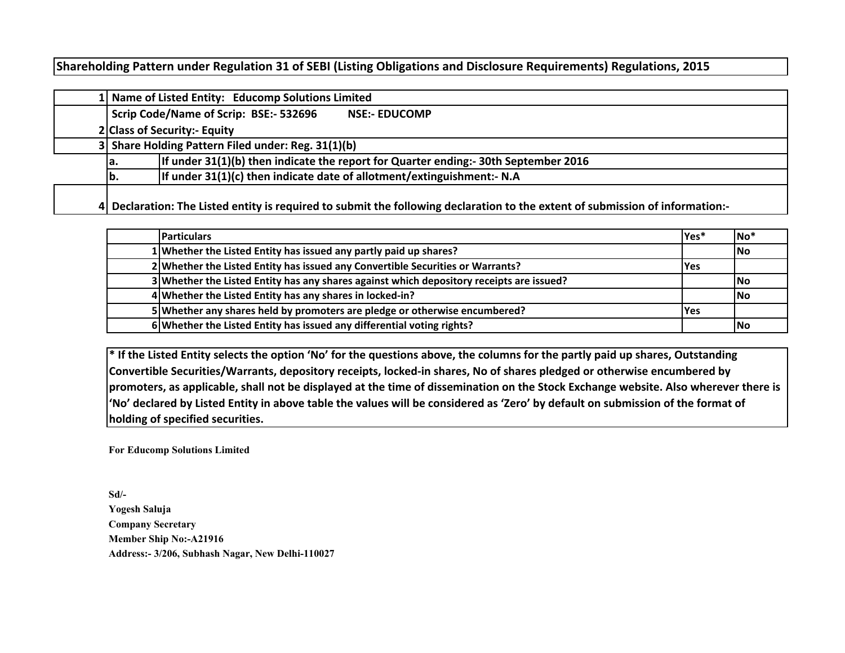## **Shareholding Pattern under Regulation 31 of SEBI (Listing Obligations and Disclosure Requirements) Regulations, 2015**

|  | 1 Name of Listed Entity: Educomp Solutions Limited                                                                            |  |  |  |  |  |  |  |  |  |  |  |
|--|-------------------------------------------------------------------------------------------------------------------------------|--|--|--|--|--|--|--|--|--|--|--|
|  | Scrip Code/Name of Scrip: BSE:- 532696<br><b>NSE:- EDUCOMP</b>                                                                |  |  |  |  |  |  |  |  |  |  |  |
|  | 2 Class of Security:- Equity                                                                                                  |  |  |  |  |  |  |  |  |  |  |  |
|  | 3 Share Holding Pattern Filed under: Reg. 31(1)(b)                                                                            |  |  |  |  |  |  |  |  |  |  |  |
|  | If under 31(1)(b) then indicate the report for Quarter ending:- 30th September 2016<br>la.                                    |  |  |  |  |  |  |  |  |  |  |  |
|  | If under 31(1)(c) then indicate date of allotment/extinguishment:- N.A<br>lb.                                                 |  |  |  |  |  |  |  |  |  |  |  |
|  | 4 Declaration: The Listed entity is required to submit the following declaration to the extent of submission of information:- |  |  |  |  |  |  |  |  |  |  |  |

| <b>Particulars</b>                                                                       | Yes*       | $No*$      |
|------------------------------------------------------------------------------------------|------------|------------|
| 1 Whether the Listed Entity has issued any partly paid up shares?                        |            | lNo        |
| 2 Whether the Listed Entity has issued any Convertible Securities or Warrants?           | <b>Yes</b> |            |
| 3 Whether the Listed Entity has any shares against which depository receipts are issued? |            | <b>INo</b> |
| 4 Whether the Listed Entity has any shares in locked-in?                                 |            | lNo        |
| 5 Whether any shares held by promoters are pledge or otherwise encumbered?               | <b>Yes</b> |            |
| 6 Whether the Listed Entity has issued any differential voting rights?                   |            | lNo        |

**\* If the Listed Entity selects the option 'No' for the questions above, the columns for the partly paid up shares, Outstanding Convertible Securities/Warrants, depository receipts, locked-in shares, No of shares pledged or otherwise encumbered by promoters, as applicable, shall not be displayed at the time of dissemination on the Stock Exchange website. Also wherever there is 'No' declared by Listed Entity in above table the values will be considered as 'Zero' by default on submission of the format of holding of specified securities.**

**For Educomp Solutions Limited**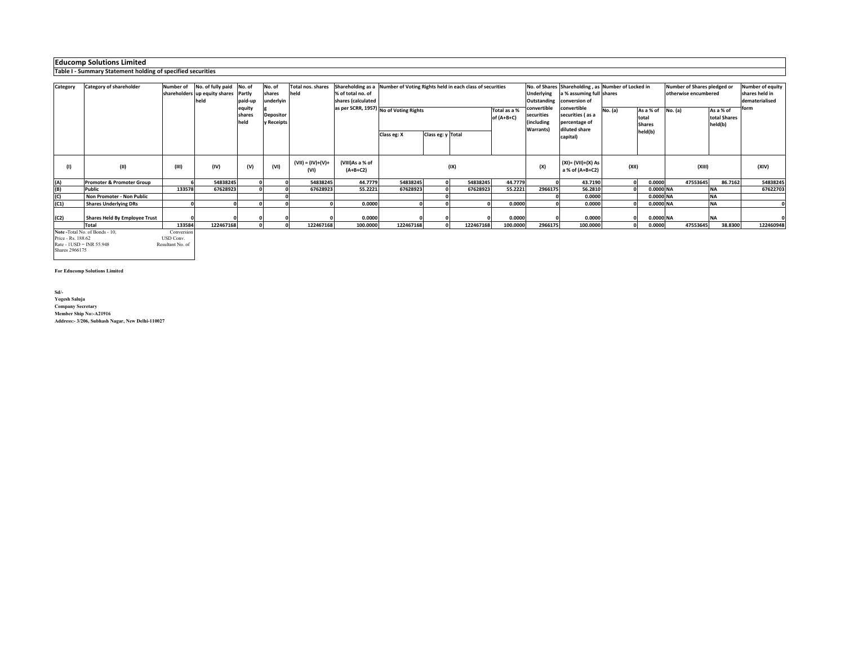**Educomp Solutions Limited Table I - Summary Statement holding of specified securities**

| Category | Category of shareholder              | <b>Number of</b>            | No. of fully paid No. of      |                          | No. of                         | <b>Total nos. shares</b>    | Shareholding as a Number of Voting Rights held in each class of securities |             |                   |           |                            |                                                      | No. of Shares Shareholding, as Number of Locked in                |         |                                     | Number of Shares pledged or | Number of equity                     |           |
|----------|--------------------------------------|-----------------------------|-------------------------------|--------------------------|--------------------------------|-----------------------------|----------------------------------------------------------------------------|-------------|-------------------|-----------|----------------------------|------------------------------------------------------|-------------------------------------------------------------------|---------|-------------------------------------|-----------------------------|--------------------------------------|-----------|
|          |                                      |                             | shareholders up equity shares | Partly                   | shares                         | held                        | % of total no. of                                                          |             |                   |           |                            | Jnderlying                                           | a % assuming full shares                                          |         |                                     | otherwise encumbered        | shares held in                       |           |
|          |                                      |                             | held                          | paid-up                  | underlyin                      |                             | shares (calculated                                                         |             |                   |           |                            | Outstanding                                          | conversion of                                                     |         |                                     | dematerialised              |                                      |           |
|          |                                      |                             |                               | equity<br>shares<br>held | <b>Depositor</b><br>y Receipts |                             | as per SCRR, 1957) No of Voting Rights                                     |             |                   |           | Total as a %<br>of (A+B+C) | convertible<br>securities<br>including)<br>Warrants) | convertible<br>securities (as a<br>percentage of<br>diluted share | No. (a) | As a % of<br>total<br><b>Shares</b> | No. (a)                     | As a % of<br>total Shares<br>held(b) | form      |
|          |                                      |                             |                               |                          |                                |                             |                                                                            | Class eg: X | Class eg: y Total |           |                            |                                                      | capital)                                                          |         | held(b)                             |                             |                                      |           |
|          |                                      |                             |                               |                          |                                |                             |                                                                            |             |                   |           |                            |                                                      |                                                                   |         |                                     |                             |                                      |           |
| (1)      | (II)                                 | (III)                       | (IV)                          | (V)                      | (VI)                           | $(VII) = (IV)+(V)+$<br>(VI) | (VIII)As a % of<br>$(A+B+C2)$                                              | (IX)        |                   |           |                            |                                                      | (XI)= (VII)+(X) As<br>a % of (A+B+C2)                             | (XII)   |                                     | (XIII)                      |                                      | (XIV)     |
| (A)      | <b>Promoter &amp; Promoter Group</b> |                             | 54838245                      |                          |                                | 54838245                    | 44.7779                                                                    | 54838245    | $\Omega$          | 54838245  | 44.7779                    |                                                      | 43.7190                                                           |         | 0.0000<br>ΩL                        | 47553645                    | 86.7162                              | 54838245  |
| (B)      | Public                               | 133578                      | 67628923                      |                          |                                | 67628923                    | 55.2221                                                                    | 67628923    |                   | 67628923  | 55.2221                    | 2966175                                              | 56.2810                                                           |         | 0.0000 NA                           |                             | <b>NA</b>                            | 67622703  |
| (C)      | Non Promoter - Non Public            |                             |                               |                          |                                |                             |                                                                            |             |                   |           |                            |                                                      | 0.0000                                                            |         | 0.0000 NA                           |                             | <b>NA</b>                            |           |
| (C1)     | <b>Shares Underlying DRs</b>         |                             |                               |                          |                                |                             | 0.0000                                                                     |             |                   |           | 0.0000                     |                                                      | 0.0000                                                            |         | 0.0000 NA                           |                             | <b>NA</b>                            |           |
|          |                                      |                             |                               |                          |                                |                             |                                                                            |             |                   |           |                            |                                                      |                                                                   |         |                                     |                             |                                      |           |
| (C2)     | <b>Shares Held By Employee Trust</b> |                             |                               |                          |                                |                             | 0.0000                                                                     |             |                   |           | 0.0000                     |                                                      | 0.0000                                                            |         | 0.0000 NA                           |                             | <b>INA</b>                           |           |
|          | <b>Total</b>                         | 133584                      | 122467168                     |                          |                                | 122467168                   | 100.0000                                                                   | 122467168   |                   | 122467168 | 100.0000                   | 2966175                                              | 100.0000                                                          |         | 0.0000<br><b>n</b>                  | 47553645                    | 38.8300                              | 122460948 |
|          | Note -Total No. of Bonds - 10,       | Conversion<br><b>TOM OF</b> |                               |                          |                                |                             |                                                                            |             |                   |           |                            |                                                      |                                                                   |         |                                     |                             |                                      |           |

**Note -Total No. of Bonds - 10, Conversion Price - Rs. 188.62** USD Conversion Rate - 1USD = INR 55.948 Resultant No. of Shares 2966175 USD Conv.<br>Resultant No. of

**For Educomp Solutions Limited**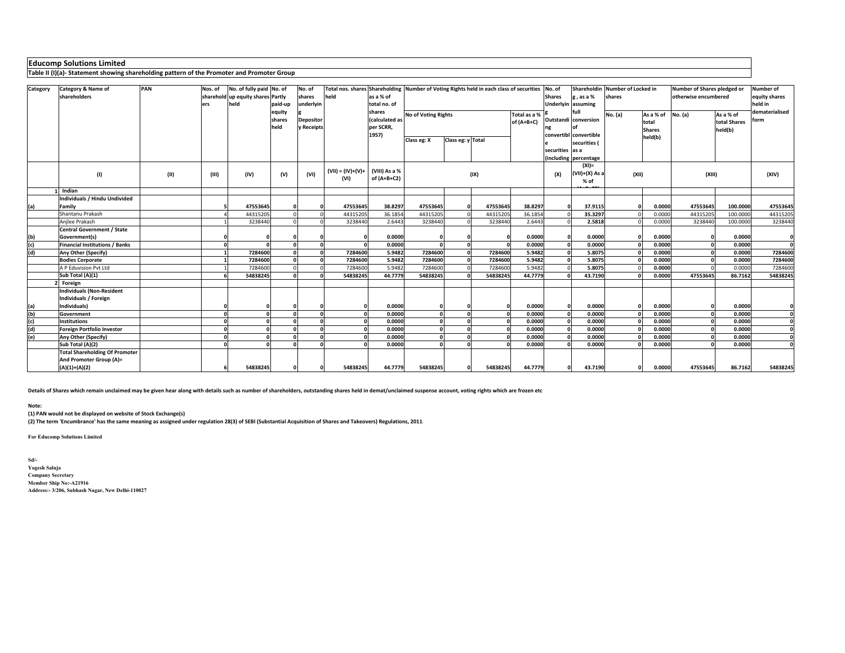## **Educomp Solutions Limited**

**Table II (I)(a)- Statement showing shareholding pattern of the Promoter and Promoter Group**

| Category | <b>Category &amp; Name of</b><br>shareholders                    | PAN  | Nos. of<br>ers | No. of fully paid No. of<br>sharehold up equity shares Partly<br>held | paid-up                   | No. of<br>shares<br>underlyin  | Total nos. shares Shareholding Number of Voting Rights held in each class of securities<br>held | as a % of<br>total no. of                      |                     |                   |          |                            | No. of<br>$g$ , as a %<br><b>Shares</b><br><b>Underlyin</b> assuming |                                                        | Shareholdin Number of Locked in<br>shares |                                     | Number of Shares pledged or<br>otherwise encumbered | Number of<br>equity shares<br>held in |                        |
|----------|------------------------------------------------------------------|------|----------------|-----------------------------------------------------------------------|---------------------------|--------------------------------|-------------------------------------------------------------------------------------------------|------------------------------------------------|---------------------|-------------------|----------|----------------------------|----------------------------------------------------------------------|--------------------------------------------------------|-------------------------------------------|-------------------------------------|-----------------------------------------------------|---------------------------------------|------------------------|
|          |                                                                  |      |                |                                                                       | lequity<br>shares<br>held | <b>Depositor</b><br>y Receipts |                                                                                                 | shares<br>(calculated as<br>per SCRR,<br>1957) | No of Voting Rights |                   |          | Total as a %<br>of (A+B+C) |                                                                      | full<br>Outstandi conversion<br>convertibl convertible | No. (a)                                   | As a % of<br>total<br><b>Shares</b> | No. (a)                                             | As a % of<br>total Shares<br>held(b)  | dematerialised<br>form |
|          |                                                                  |      |                |                                                                       |                           |                                |                                                                                                 |                                                | Class eg: X         | Class eg: y Total |          |                            | securities las a                                                     | securities (<br>including percentage                   |                                           | held(b)                             |                                                     |                                       |                        |
|          | (1)                                                              | (11) | (III)          | (IV)                                                                  | (V)                       | (VI)                           | $(VII) = (IV)+(V)+$<br>(VI)                                                                     | (VIII) As a %<br>of (A+B+C2)                   |                     |                   | (IX)     |                            | (X)                                                                  | $(XI) =$<br>$(VII)+(X)$ As a<br>% of                   | (XII)                                     |                                     | (XIII)                                              |                                       | (XIV)                  |
|          | Indian                                                           |      |                |                                                                       |                           |                                |                                                                                                 |                                                |                     |                   |          |                            |                                                                      |                                                        |                                           |                                     |                                                     |                                       |                        |
| (a)      | Individuals / Hindu Undivided<br>Family                          |      |                | 47553645                                                              |                           |                                | 47553645                                                                                        | 38.8297                                        | 47553645            |                   | 47553645 | 38.8297                    |                                                                      | 37.9115                                                |                                           | 0.0000                              | 47553645                                            | 100.0000                              | 47553645               |
|          | Shantanu Prakash                                                 |      |                | 44315205                                                              |                           |                                | 4431520                                                                                         | 36.1854                                        | 4431520             |                   | 44315205 | 36.1854                    |                                                                      | 35.3297                                                |                                           | 0.0000                              | 44315205                                            | 100.0000                              | 44315205               |
|          | Anjlee Prakash                                                   |      |                | 3238440                                                               |                           |                                | 3238440                                                                                         | 2.6443                                         | 3238440             |                   | 3238440  | 2.6443                     |                                                                      | 2.5818                                                 |                                           | 0.0000                              | 3238440                                             | 100.0000                              | 3238440                |
|          | <b>Central Government / State</b>                                |      |                |                                                                       |                           |                                |                                                                                                 |                                                |                     |                   |          |                            |                                                                      |                                                        |                                           |                                     |                                                     |                                       |                        |
| (b)      | Government(s)                                                    |      |                |                                                                       |                           |                                |                                                                                                 | 0.0000                                         |                     |                   |          | 0.0000                     |                                                                      | 0.0000                                                 |                                           | 0.0000                              |                                                     | 0.0000                                | $\Omega$               |
| (c)      | <b>Financial Institutions / Banks</b>                            |      |                |                                                                       |                           |                                |                                                                                                 | 0.0000                                         |                     |                   |          | 0.0000                     |                                                                      | 0.0000                                                 |                                           | 0.0000                              |                                                     | 0.0000                                | $\Omega$               |
| (d)      | Any Other (Specify)                                              |      |                | 7284600                                                               |                           |                                | 7284600                                                                                         | 5.9482                                         | 7284600             |                   | 7284600  | 5.9482                     |                                                                      | 5.8075                                                 |                                           | 0.0000                              |                                                     | 0.0000                                | 7284600                |
|          | <b>Bodies Corporate</b>                                          |      |                | 7284600                                                               |                           |                                | 7284600                                                                                         | 5.9482                                         | 7284600             |                   | 7284600  | 5.9482                     |                                                                      | 5.8075                                                 |                                           | 0.0000                              |                                                     | 0.0000                                | 7284600                |
|          | A P Eduvision Pvt Ltd                                            |      |                | 7284600                                                               |                           |                                | 728460                                                                                          | 5.9482                                         | 7284600             |                   | 7284600  | 5.9482                     |                                                                      | 5.8075                                                 |                                           | 0.0000                              |                                                     | 0.0000                                | 7284600                |
|          | Sub Total (A)(1)                                                 |      |                | 54838245                                                              |                           |                                | 54838245                                                                                        | 44.7779                                        | 54838245            |                   | 54838245 | 44.7779                    |                                                                      | 43.7190                                                |                                           | 0.0000                              | 47553645                                            | 86.7162                               | 54838245               |
|          | Foreign                                                          |      |                |                                                                       |                           |                                |                                                                                                 |                                                |                     |                   |          |                            |                                                                      |                                                        |                                           |                                     |                                                     |                                       |                        |
|          | <b>Individuals (Non-Resident</b><br>Individuals / Foreign        |      |                |                                                                       |                           |                                |                                                                                                 |                                                |                     |                   |          |                            |                                                                      |                                                        |                                           |                                     |                                                     |                                       |                        |
| (a)      | Individuals)                                                     |      |                |                                                                       |                           |                                |                                                                                                 | 0.0000                                         |                     |                   |          | 0.0000                     |                                                                      | 0.0000                                                 |                                           | 0.0000                              |                                                     | 0.0000                                | $\mathbf{0}$           |
| (b)      | Government                                                       |      |                |                                                                       |                           |                                |                                                                                                 | 0.0000                                         |                     |                   |          | 0.0000                     |                                                                      | 0.0000                                                 |                                           | 0.0000                              |                                                     | 0.0000                                | $\mathbf 0$            |
| (c)      | <b>Institutions</b>                                              |      |                |                                                                       |                           |                                |                                                                                                 | 0.0000                                         |                     |                   |          | 0.0000                     |                                                                      | 0.0000                                                 |                                           | 0.0000                              |                                                     | 0.0000                                | $\Omega$               |
| (d)      | <b>Foreign Portfolio Investor</b>                                |      |                |                                                                       |                           |                                |                                                                                                 | 0.0000                                         |                     |                   |          | 0.0000                     |                                                                      | 0.0000                                                 |                                           | 0.0000                              |                                                     | 0.0000                                | $\Omega$               |
| (e)      | Any Other (Specify)                                              |      |                |                                                                       |                           |                                |                                                                                                 | 0.0000                                         |                     |                   |          | 0.0000                     |                                                                      | 0.0000                                                 |                                           | 0.0000                              |                                                     | 0.0000                                | $\Omega$               |
|          | Sub Total (A)(2)                                                 |      |                |                                                                       |                           |                                |                                                                                                 | 0.0000                                         |                     |                   |          | 0.0000                     |                                                                      | 0.0000                                                 |                                           | 0.0000                              |                                                     | 0.0000                                |                        |
|          | <b>Total Shareholding Of Promoter</b><br>And Promoter Group (A)= |      |                |                                                                       |                           |                                |                                                                                                 |                                                |                     |                   |          |                            |                                                                      |                                                        |                                           |                                     |                                                     |                                       |                        |
|          | $(A)(1)+(A)(2)$                                                  |      |                | 54838245                                                              |                           |                                | 54838245                                                                                        | 44.7779                                        | 54838245            |                   | 54838245 | 44.7779                    |                                                                      | 43.7190                                                |                                           | 0.0000                              | 47553645                                            | 86.7162                               | 54838245               |

**Details of Shares which remain unclaimed may be given hear along with details such as number of shareholders, outstanding shares held in demat/unclaimed suspense account, voting rights which are frozen etc.**

**Note:** 

**(1) PAN would not be displayed on website of Stock Exchange(s)** 

**(2) The term 'Encumbrance' has the same meaning as assigned under regulation 28(3) of SEBI (Substantial Acquisition of Shares and Takeovers) Regulations, 2011.**

**For Educomp Solutions Limited**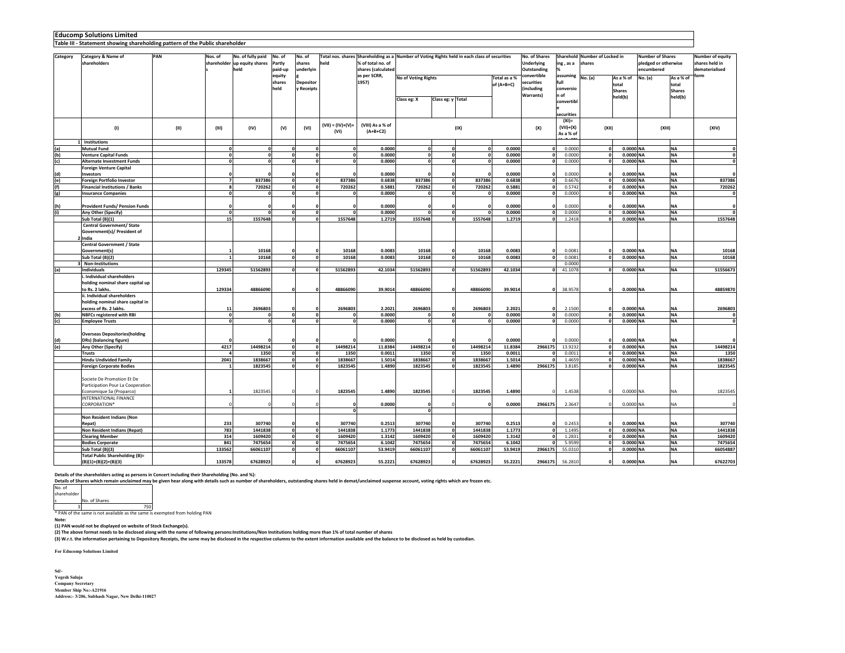|            | <b>Educomp Solutions Limited</b><br>Table III - Statement showing shareholding pattern of the Public shareholder |                |                                                           |                             |                                                    |                             |                                         |                                                                                              |                   |          |                            |                                                   |                                                    |                                         |                                     |                                                               |                                     |                                                      |
|------------|------------------------------------------------------------------------------------------------------------------|----------------|-----------------------------------------------------------|-----------------------------|----------------------------------------------------|-----------------------------|-----------------------------------------|----------------------------------------------------------------------------------------------|-------------------|----------|----------------------------|---------------------------------------------------|----------------------------------------------------|-----------------------------------------|-------------------------------------|---------------------------------------------------------------|-------------------------------------|------------------------------------------------------|
|            |                                                                                                                  |                |                                                           |                             |                                                    |                             |                                         |                                                                                              |                   |          |                            |                                                   |                                                    |                                         |                                     |                                                               |                                     |                                                      |
| Category   | PAN<br>Category & Name of<br>shareholders                                                                        | Nos. of        | No. of fully paid<br>shareholder up equity shares<br>held | No. of<br>Partly<br>paid-up | No. of<br>shares<br>underlyin                      | held                        | % of total no. of<br>shares (calculated | Total nos. shares Shareholding as a Number of Voting Rights held in each class of securities |                   |          |                            | No. of Shares<br><b>Underlying</b><br>Outstanding | ing , as a                                         | Sharehold Number of Locked in<br>shares |                                     | <b>Number of Shares</b><br>pledged or otherwise<br>encumbered |                                     | Number of equity<br>shares held in<br>dematerialised |
|            |                                                                                                                  |                |                                                           | equity<br>shares<br>held    | <b>Depositor</b><br>y Receipts                     |                             | as per SCRR,<br>1957)                   | No of Voting Rights                                                                          |                   |          | Total as a %<br>of (A+B+C) | onvertible:<br>ecurities<br>(including            | assuming<br>full<br>conversio                      | No. (a)                                 | As a % of<br>total<br><b>Shares</b> | No. (a)                                                       | As a % of<br>total<br><b>Shares</b> | orm                                                  |
|            |                                                                                                                  |                |                                                           |                             |                                                    |                             |                                         | Class eg: X                                                                                  | Class eg: y Total |          |                            | Warrants)                                         | n of<br>convertibl                                 |                                         | held(b)                             |                                                               | held(b)                             |                                                      |
|            | (1)<br>(II)                                                                                                      | (III)          | (IV)                                                      | (V)                         | (VI)                                               | $(VII) = (IV)+(V)+$<br>(VI) | (VIII) As a % of<br>$(A+B+C2)$          |                                                                                              |                   | (IX)     |                            | (X)                                               | securities<br>$(XI) =$<br>$(VII)+(X)$<br>As a % of | (XII)                                   |                                     | (XIII)                                                        |                                     | (XIV)                                                |
|            | 1 Institutions                                                                                                   |                |                                                           |                             |                                                    |                             |                                         |                                                                                              |                   |          |                            |                                                   |                                                    |                                         |                                     |                                                               |                                     |                                                      |
| (a)        | <b>Mutual Fund</b>                                                                                               | $\Omega$       | $\mathbf{0}$                                              |                             | $\mathbf{o}$<br>$\mathbf{0}$                       |                             | 0.0000                                  | $\mathbf{o}$                                                                                 | $\mathbf{0}$      |          | 0.0000                     | $\mathbf{0}$                                      | 0.0000                                             |                                         | 0.0000 NA                           |                                                               | <b>NA</b>                           | $\Omega$                                             |
| (b)        | <b>Venture Capital Funds</b>                                                                                     | 0              | $\mathbf{o}$                                              |                             | $\mathbf{o}$<br> 0                                 | $\Omega$                    | 0.0000                                  | $\mathbf{o}$                                                                                 | $\mathbf{0}$      |          | 0.0000                     | $\Omega$                                          | 0.0000                                             | $\Omega$                                | 0.0000 NA                           |                                                               | <b>NA</b>                           | $\mathbf{0}$                                         |
| (c)        | <b>Alternate Investment Funds</b>                                                                                | $\Omega$       | $\mathbf 0$                                               |                             | $\mathbf{0}$<br> 0                                 | $\Omega$                    | 0.0000                                  | $\mathbf 0$                                                                                  | $\Omega$          |          | 0.0000                     | $\mathbf 0$                                       | 0.0000                                             |                                         | 0.0000 NA                           |                                                               | <b>NA</b>                           | $\pmb{\mathsf{o}}$                                   |
|            | <b>Foreign Venture Capital</b>                                                                                   |                |                                                           |                             |                                                    |                             |                                         |                                                                                              |                   |          |                            |                                                   | 0.0000                                             |                                         |                                     |                                                               |                                     |                                                      |
| (d)<br>(e) | Investors<br><b>Foreign Portfolio Investor</b>                                                                   | $\overline{7}$ | 837386                                                    |                             | $\mathbf{0}$<br>$\mathbf{0}$                       | 837386                      | 0.0000<br>0.6838                        | 837386                                                                                       | $\mathbf{0}$      | 837386   | 0.0000<br>0.6838           | $\Omega$                                          | 0.6676                                             |                                         | 0.0000 NA<br>0.0000 NA              |                                                               | NA<br><b>NA</b>                     | 837386                                               |
| (f)        | <b>Financial Institutions / Banks</b>                                                                            |                | 720262                                                    |                             | 0<br>$\mathbf 0$                                   | 720262                      | 0.5881                                  | 720262                                                                                       | $\Omega$          | 720262   | 0.5881                     | C                                                 | 0.5742                                             |                                         | 0.0000 NA                           |                                                               | NA                                  | 720262                                               |
| (g)        | <b>Insurance Companies</b>                                                                                       | o              | $\Omega$                                                  |                             | οl<br>0                                            |                             | 0.0000                                  | $\mathbf{0}$                                                                                 | $\mathbf{0}$      |          | 0.0000                     | $\mathbf{0}$                                      | 0.0000                                             |                                         | 0.0000 NA                           |                                                               | <b>NA</b>                           | $\mathbf 0$                                          |
| (h)        | <b>Provident Funds/ Pension Funds</b>                                                                            |                |                                                           |                             |                                                    |                             | 0.0000                                  |                                                                                              |                   |          | 0.0000                     |                                                   | 0.0000                                             |                                         | 0.0000 NA                           |                                                               | NA                                  | $\Omega$                                             |
| (i)        | Any Other (Specify)                                                                                              | $\Omega$       | $\mathbf 0$                                               | $\mathbf{0}$                | 0                                                  |                             | 0.0000                                  |                                                                                              | $\mathbf{0}$      |          | 0.0000                     | $\Omega$                                          | 0.0000                                             |                                         | 0.0000 NA                           |                                                               | <b>NA</b>                           | $\mathbf{r}$                                         |
|            | Sub Total (B)(1)                                                                                                 | 15             | 1557648                                                   |                             | 0<br>o                                             | 1557648                     | 1.2719                                  | 1557648                                                                                      | $\mathbf{0}$      | 1557648  | 1.2719                     | $\mathbf{0}$                                      | 1.2418                                             |                                         | 0.0000 NA                           |                                                               | <b>NA</b>                           | 1557648                                              |
|            | <b>Central Government/ State</b><br>Government(s)/ President of<br>2 India                                       |                |                                                           |                             |                                                    |                             |                                         |                                                                                              |                   |          |                            |                                                   |                                                    |                                         |                                     |                                                               |                                     |                                                      |
|            | <b>Central Government / State</b>                                                                                |                |                                                           |                             |                                                    |                             |                                         |                                                                                              |                   |          |                            |                                                   |                                                    |                                         |                                     |                                                               |                                     |                                                      |
|            | Government(s)                                                                                                    |                | 10168                                                     |                             |                                                    | 10168                       | 0.0083                                  | 10168                                                                                        |                   | 10168    | 0.0083                     |                                                   | 0.0081                                             |                                         | 0.0000 NA                           |                                                               | NA                                  | 10168                                                |
|            | Sub Total (B)(2)                                                                                                 |                | 10168                                                     |                             | $\mathbf{o}$<br>ol                                 | 10168                       | 0.0083                                  | 10168                                                                                        |                   | 10168    | 0.0083                     |                                                   | 0.0081                                             |                                         | 0.0000 NA                           |                                                               | NA                                  | 10168                                                |
|            | 3 Non-Institutions                                                                                               |                |                                                           |                             |                                                    |                             |                                         |                                                                                              |                   |          |                            |                                                   | 0.0000                                             |                                         |                                     |                                                               |                                     |                                                      |
| (a)        | Individuals                                                                                                      | 129345         | 51562893                                                  |                             | $\mathbf 0$<br>o                                   | 51562893                    | 42.1034                                 | 51562893                                                                                     | $\Omega$          | 51562893 | 42.1034                    | $\mathbf{0}$                                      | 41.1078                                            |                                         | 0.0000 NA                           |                                                               | NA                                  | 51556673                                             |
|            | Individual shareholders<br>holding nominal share capital up                                                      |                |                                                           |                             |                                                    |                             |                                         |                                                                                              |                   |          |                            |                                                   |                                                    |                                         |                                     |                                                               |                                     |                                                      |
|            | to Rs. 2 lakhs.                                                                                                  | 129334         | 48866090                                                  | o                           |                                                    | 48866090                    | 39.9014                                 | 48866090                                                                                     | ¢                 | 48866090 | 39.9014                    | $\mathbf{0}$                                      | 38.9578                                            |                                         | 0.0000 NA                           |                                                               | <b>NA</b>                           | 48859870                                             |
|            | ii. Individual shareholders                                                                                      |                |                                                           |                             |                                                    |                             |                                         |                                                                                              |                   |          |                            |                                                   |                                                    |                                         |                                     |                                                               |                                     |                                                      |
|            | holding nominal share capital in                                                                                 |                |                                                           |                             |                                                    |                             |                                         |                                                                                              |                   |          |                            |                                                   |                                                    |                                         |                                     |                                                               |                                     |                                                      |
|            | excess of Rs. 2 lakhs.                                                                                           | 11             | 2696803                                                   |                             |                                                    | 2696803                     | 2.2021                                  | 2696803                                                                                      |                   | 2696803  | 2.2021                     |                                                   | 2.1500                                             |                                         | 0.0000 NA                           |                                                               | NA                                  | 2696803                                              |
| (b)<br>(c) | <b>NBFCs registered with RBI</b>                                                                                 | o              | $\Omega$                                                  |                             | $\mathbf 0$<br>o                                   |                             | 0.0000                                  | $\mathbf{0}$                                                                                 | $\mathbf{0}$      |          | 0.0000                     | $\Omega$                                          | 0.0000                                             |                                         | 0.0000 NA                           |                                                               | <b>NA</b>                           | $\mathbf 0$                                          |
|            | <b>Employee Trusts</b>                                                                                           | $\mathbf{r}$   | $\mathbf{0}$                                              |                             | $\mathbf{o}$<br>$\mathbf{o}$                       |                             | 0.0000                                  | $\mathbf 0$                                                                                  | $\Omega$          |          | 0.0000                     | $\Omega$                                          | 0.0000                                             |                                         | 0.0000 NA                           |                                                               | NA                                  | $\overline{\mathbf{0}}$                              |
|            | <b>Overseas Depositories(holding</b><br>DRs) (balancing figure)                                                  |                |                                                           |                             |                                                    |                             | 0.0000                                  |                                                                                              |                   |          | 0.0000                     |                                                   | 0.0000                                             |                                         | 0.0000 NA                           |                                                               | NA                                  |                                                      |
| (d)<br>(e) | Any Other (Specify)                                                                                              | 4217           | 14498214                                                  |                             | 0 <br> 0                                           | 14498214                    | 11.8384                                 | 14498214                                                                                     | $\Omega$          | 14498214 | 11.8384                    | 2966175                                           | 13.9232                                            | $\Omega$                                | 0.0000 NA                           |                                                               | <b>NA</b>                           | 14498214                                             |
|            | <b>Trusts</b>                                                                                                    | $\overline{a}$ | 1350                                                      |                             | $\overline{\mathbf{0}}$<br>$\overline{\mathbf{0}}$ | 1350                        | 0.0011                                  | 1350                                                                                         | $\mathbf{0}$      | 1350     | 0.0011                     |                                                   | 0.0011                                             |                                         | 0.0000 NA                           |                                                               | <b>NA</b>                           | 1350                                                 |
|            | <b>Hindu Undivided Family</b>                                                                                    | 2041           | 1838667                                                   | $\mathbf{o}$                | $\mathbf 0$                                        | 1838667                     | 1.5014                                  | 1838667                                                                                      | $\Omega$          | 1838667  | 1.5014                     |                                                   | 1.4659                                             |                                         | 0.0000 NA                           |                                                               | <b>NA</b>                           | 1838667                                              |
|            | <b>Foreign Corporate Bodies</b>                                                                                  | $\mathbf{1}$   | 1823545                                                   |                             | $\mathbf 0$<br>$\mathbf 0$                         | 1823545                     | 1.4890                                  | 1823545                                                                                      | $\Omega$          | 1823545  | 1.4890                     | 2966175                                           | 3.8185                                             |                                         | 0.0000 NA                           |                                                               | NA                                  | 1823545                                              |
|            | Societe De Promotion Et De<br>Participation Pour La Cooperation<br>Economique Sa (Proparco)                      |                | 1823545                                                   |                             |                                                    | 1823545                     | 1.4890                                  | 1823545                                                                                      | C                 | 1823545  | 1.4890                     | $\Omega$                                          | 1.4538                                             |                                         | 0.0000 NA                           |                                                               | NA                                  | 1823545                                              |
|            | <b>INTERNATIONAL FINANCE</b>                                                                                     |                |                                                           |                             |                                                    |                             |                                         |                                                                                              |                   |          |                            |                                                   |                                                    |                                         |                                     |                                                               |                                     |                                                      |
|            | CORPORATION*                                                                                                     |                | $\Omega$                                                  |                             |                                                    |                             | 0.0000                                  | $\Omega$<br>$\mathbf 0$                                                                      |                   |          | 0.0000                     | 2966175                                           | 2.3647                                             |                                         | 0.0000 NA                           |                                                               | <b>NA</b>                           | $\Omega$                                             |
|            | Non Resident Indians (Non                                                                                        |                |                                                           |                             |                                                    |                             |                                         |                                                                                              |                   |          |                            |                                                   |                                                    |                                         |                                     |                                                               |                                     |                                                      |
|            | Repat)                                                                                                           | 233            | 307740                                                    | $\Omega$                    |                                                    | 307740                      | 0.2513                                  | 307740                                                                                       |                   | 307740   | 0.2513                     | ¢                                                 | 0.2453                                             |                                         | 0.0000 NA                           |                                                               | NA                                  | 307740                                               |
|            | Non Resident Indians (Repat)                                                                                     | 783            | 1441838                                                   |                             | $\mathbf{0}$<br>$\mathbf{0}$                       | 1441838                     | 1.1773                                  | 1441838                                                                                      | $\Omega$          | 1441838  | 1.1773                     | $\Omega$                                          | 1.1495                                             |                                         | 0.0000 NA                           |                                                               | NA                                  | 1441838                                              |
|            | <b>Clearing Member</b>                                                                                           | 314            | 1609420                                                   |                             | $\mathbf{0}$<br>ol                                 | 1609420                     | 1.3142                                  | 1609420                                                                                      | $\mathbf{0}$      | 1609420  | 1.3142                     |                                                   | 1.2831                                             |                                         | 0.0000 NA                           |                                                               | NA                                  | 1609420                                              |
|            | <b>Bodies Corporate</b>                                                                                          | 841            | 7475654                                                   |                             | 0 <br>ol                                           | 7475654                     | 6.1042                                  | 7475654                                                                                      | $\mathbf{0}$      | 7475654  | 6.1042                     |                                                   | 5.9599                                             |                                         | 0.0000 NA                           |                                                               | <b>NA</b>                           | 7475654                                              |
|            | Sub Total (B)(3)                                                                                                 | 133562         | 66061107                                                  |                             | $\mathbf 0$<br>o                                   | 66061107                    | 53.9419                                 | 66061107                                                                                     | $\mathbf{0}$      | 66061107 | 53.9419                    | 2966175                                           | 55.0310                                            |                                         | 0.0000 NA                           |                                                               | <b>NA</b>                           | 66054887                                             |
|            | Total Public Shareholding (B)=<br>$(B)(1)+(B)(2)+(B)(3)$                                                         | 133578         | 67628923                                                  | O                           |                                                    | 67628923                    | 55.2221                                 | 67628923                                                                                     | $\mathbf{a}$      | 67628923 | 55.2221                    | 2966175                                           | 56.2810                                            | $\mathbf{a}$                            | 0.0000 NA                           |                                                               | <b>NA</b>                           | 67622703                                             |
|            |                                                                                                                  |                |                                                           |                             |                                                    |                             |                                         |                                                                                              |                   |          |                            |                                                   |                                                    |                                         |                                     |                                                               |                                     |                                                      |

Details of the shareholders acting as persons in Concert including their Shareholding (No. and %):<br>Details of Shares which remain undaimed may be given hear along with details such as number of shareholders, outstanding sh

hareholde **No. of Shares** 

<sup>3</sup> <sup>750</sup> \* PAN of the same is not available as the same is exempted from holding PAN

**Note:** 

**(1) PAN would not be displayed on website of Stock Exchange(s).** 

**(2) The above format needs to be disclosed along with the name of following persons:Institutions/Non Institutions holding more than 1% of total number of shares**

**(3) W.r.t. the information pertaining to Depository Receipts, the same may be disclosed in the respective columns to the extent information available and the balance to be disclosed as held by custodian.**

**For Educomp Solutions Limited**